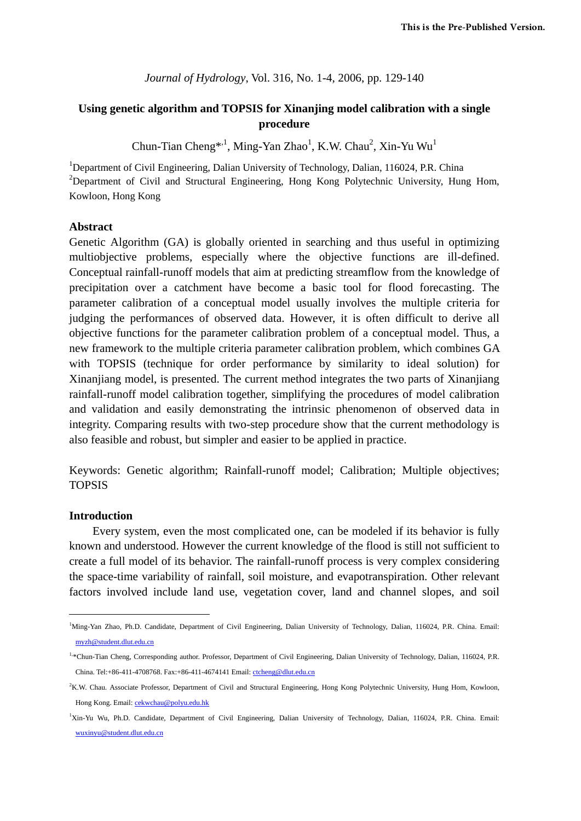*Journal of Hydrology*, Vol. 316, No. 1-4, 2006, pp. 129-140

# **Using genetic algorithm and TOPSIS for Xinanjing model calibration with a single procedure**

Chun-Tian Cheng<sup>\*,1</sup>, Ming-Yan Zhao<sup>1</sup>, K.W. Chau<sup>2</sup>, Xin-Yu Wu<sup>1</sup>

<sup>1</sup>Department of Civil Engineering, Dalian University of Technology, Dalian, 116024, P.R. China <sup>2</sup>Department of Civil and Structural Engineering, Hong Kong Polytechnic University, Hung Hom, Kowloon, Hong Kong

#### **Abstract**

Genetic Algorithm (GA) is globally oriented in searching and thus useful in optimizing multiobjective problems, especially where the objective functions are ill-defined. Conceptual rainfall-runoff models that aim at predicting streamflow from the knowledge of precipitation over a catchment have become a basic tool for flood forecasting. The parameter calibration of a conceptual model usually involves the multiple criteria for judging the performances of observed data. However, it is often difficult to derive all objective functions for the parameter calibration problem of a conceptual model. Thus, a new framework to the multiple criteria parameter calibration problem, which combines GA with TOPSIS (technique for order performance by similarity to ideal solution) for Xinanjiang model, is presented. The current method integrates the two parts of Xinanjiang rainfall-runoff model calibration together, simplifying the procedures of model calibration and validation and easily demonstrating the intrinsic phenomenon of observed data in integrity. Comparing results with two-step procedure show that the current methodology is also feasible and robust, but simpler and easier to be applied in practice.

Keywords: Genetic algorithm; Rainfall-runoff model; Calibration; Multiple objectives; TOPSIS

#### **Introduction**

-

Every system, even the most complicated one, can be modeled if its behavior is fully known and understood. However the current knowledge of the flood is still not sufficient to create a full model of its behavior. The rainfall-runoff process is very complex considering the space-time variability of rainfall, soil moisture, and evapotranspiration. Other relevant factors involved include land use, vegetation cover, land and channel slopes, and soil

<sup>&</sup>lt;sup>1</sup>Ming-Yan Zhao, Ph.D. Candidate, Department of Civil Engineering, Dalian University of Technology, Dalian, 116024, P.R. China. Email: myzh@student.dlut.edu.cn

<sup>1,\*</sup>Chun-Tian Cheng, Corresponding author. Professor, Department of Civil Engineering, Dalian University of Technology, Dalian, 116024, P.R. China. Tel:+86-411-4708768. Fax:+86-411-4674141 Email: ctcheng@dlut.edu.cn

<sup>2</sup> K.W. Chau. Associate Professor, Department of Civil and Structural Engineering, Hong Kong Polytechnic University, Hung Hom, Kowloon, Hong Kong. Email: cekwchau@polyu.edu.hk

<sup>1</sup> Xin-Yu Wu, Ph.D. Candidate, Department of Civil Engineering, Dalian University of Technology, Dalian, 116024, P.R. China. Email: wuxinyu@student.dlut.edu.cn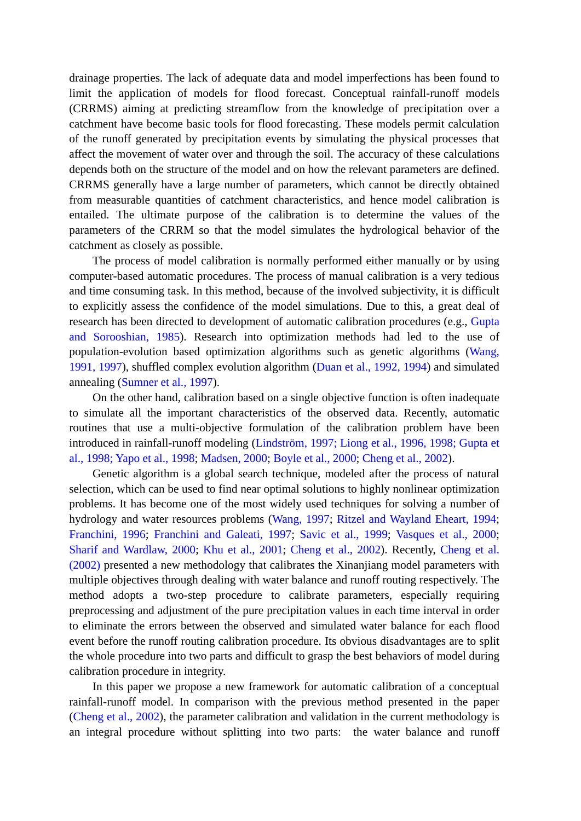drainage properties. The lack of adequate data and model imperfections has been found to limit the application of models for flood forecast. Conceptual rainfall-runoff models (CRRMS) aiming at predicting streamflow from the knowledge of precipitation over a catchment have become basic tools for flood forecasting. These models permit calculation of the runoff generated by precipitation events by simulating the physical processes that affect the movement of water over and through the soil. The accuracy of these calculations depends both on the structure of the model and on how the relevant parameters are defined. CRRMS generally have a large number of parameters, which cannot be directly obtained from measurable quantities of catchment characteristics, and hence model calibration is entailed. The ultimate purpose of the calibration is to determine the values of the parameters of the CRRM so that the model simulates the hydrological behavior of the catchment as closely as possible.

The process of model calibration is normally performed either manually or by using computer-based automatic procedures. The process of manual calibration is a very tedious and time consuming task. In this method, because of the involved subjectivity, it is difficult to explicitly assess the confidence of the model simulations. Due to this, a great deal of research has been directed to development of automatic calibration procedures (e.g., Gupta and Sorooshian, 1985). Research into optimization methods had led to the use of population-evolution based optimization algorithms such as genetic algorithms (Wang, 1991, 1997), shuffled complex evolution algorithm (Duan et al., 1992, 1994) and simulated annealing (Sumner et al., 1997).

On the other hand, calibration based on a single objective function is often inadequate to simulate all the important characteristics of the observed data. Recently, automatic routines that use a multi-objective formulation of the calibration problem have been introduced in rainfall-runoff modeling (Lindström, 1997; Liong et al., 1996, 1998; Gupta et al., 1998; Yapo et al., 1998; Madsen, 2000; Boyle et al., 2000; Cheng et al., 2002).

Genetic algorithm is a global search technique, modeled after the process of natural selection, which can be used to find near optimal solutions to highly nonlinear optimization problems. It has become one of the most widely used techniques for solving a number of hydrology and water resources problems (Wang, 1997; Ritzel and Wayland Eheart, 1994; Franchini, 1996; Franchini and Galeati, 1997; Savic et al., 1999; Vasques et al., 2000; Sharif and Wardlaw, 2000; Khu et al., 2001; Cheng et al., 2002). Recently, Cheng et al. (2002) presented a new methodology that calibrates the Xinanjiang model parameters with multiple objectives through dealing with water balance and runoff routing respectively. The method adopts a two-step procedure to calibrate parameters, especially requiring preprocessing and adjustment of the pure precipitation values in each time interval in order to eliminate the errors between the observed and simulated water balance for each flood event before the runoff routing calibration procedure. Its obvious disadvantages are to split the whole procedure into two parts and difficult to grasp the best behaviors of model during calibration procedure in integrity.

In this paper we propose a new framework for automatic calibration of a conceptual rainfall-runoff model. In comparison with the previous method presented in the paper (Cheng et al., 2002), the parameter calibration and validation in the current methodology is an integral procedure without splitting into two parts: the water balance and runoff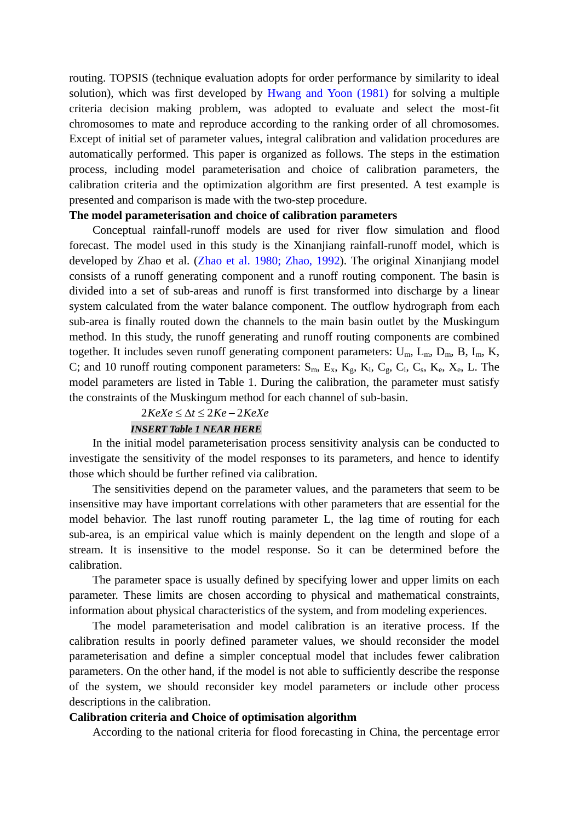routing. TOPSIS (technique evaluation adopts for order performance by similarity to ideal solution), which was first developed by Hwang and Yoon (1981) for solving a multiple criteria decision making problem, was adopted to evaluate and select the most-fit chromosomes to mate and reproduce according to the ranking order of all chromosomes. Except of initial set of parameter values, integral calibration and validation procedures are automatically performed. This paper is organized as follows. The steps in the estimation process, including model parameterisation and choice of calibration parameters, the calibration criteria and the optimization algorithm are first presented. A test example is presented and comparison is made with the two-step procedure.

# **The model parameterisation and choice of calibration parameters**

Conceptual rainfall-runoff models are used for river flow simulation and flood forecast. The model used in this study is the Xinanjiang rainfall-runoff model, which is developed by Zhao et al. (Zhao et al. 1980; Zhao, 1992). The original Xinanjiang model consists of a runoff generating component and a runoff routing component. The basin is divided into a set of sub-areas and runoff is first transformed into discharge by a linear system calculated from the water balance component. The outflow hydrograph from each sub-area is finally routed down the channels to the main basin outlet by the Muskingum method. In this study, the runoff generating and runoff routing components are combined together. It includes seven runoff generating component parameters:  $U_m$ ,  $L_m$ ,  $D_m$ ,  $B$ ,  $I_m$ ,  $K$ , C; and 10 runoff routing component parameters:  $S_m$ ,  $E_x$ ,  $K_g$ ,  $K_g$ ,  $C_g$ ,  $C_i$ ,  $C_s$ ,  $K_g$ ,  $X_g$ ,  $L$ . The model parameters are listed in Table 1. During the calibration, the parameter must satisfy the constraints of the Muskingum method for each channel of sub-basin.

# $2 KeXe \leq \Delta t \leq 2Ke - 2KeXe$

#### *INSERT Table 1 NEAR HERE*

In the initial model parameterisation process sensitivity analysis can be conducted to investigate the sensitivity of the model responses to its parameters, and hence to identify those which should be further refined via calibration.

The sensitivities depend on the parameter values, and the parameters that seem to be insensitive may have important correlations with other parameters that are essential for the model behavior. The last runoff routing parameter L, the lag time of routing for each sub-area, is an empirical value which is mainly dependent on the length and slope of a stream. It is insensitive to the model response. So it can be determined before the calibration.

The parameter space is usually defined by specifying lower and upper limits on each parameter. These limits are chosen according to physical and mathematical constraints, information about physical characteristics of the system, and from modeling experiences.

The model parameterisation and model calibration is an iterative process. If the calibration results in poorly defined parameter values, we should reconsider the model parameterisation and define a simpler conceptual model that includes fewer calibration parameters. On the other hand, if the model is not able to sufficiently describe the response of the system, we should reconsider key model parameters or include other process descriptions in the calibration.

#### **Calibration criteria and Choice of optimisation algorithm**

According to the national criteria for flood forecasting in China, the percentage error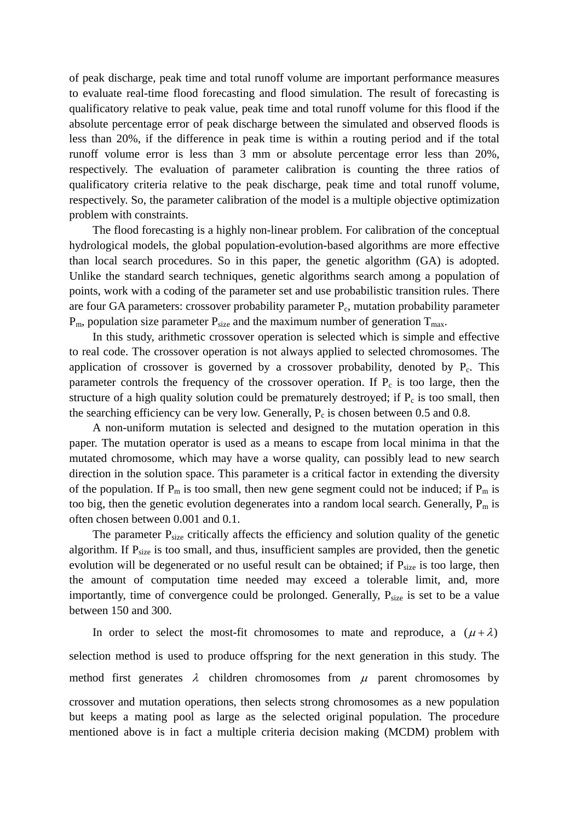of peak discharge, peak time and total runoff volume are important performance measures to evaluate real-time flood forecasting and flood simulation. The result of forecasting is qualificatory relative to peak value, peak time and total runoff volume for this flood if the absolute percentage error of peak discharge between the simulated and observed floods is less than 20%, if the difference in peak time is within a routing period and if the total runoff volume error is less than 3 mm or absolute percentage error less than 20%, respectively. The evaluation of parameter calibration is counting the three ratios of qualificatory criteria relative to the peak discharge, peak time and total runoff volume, respectively. So, the parameter calibration of the model is a multiple objective optimization problem with constraints.

The flood forecasting is a highly non-linear problem. For calibration of the conceptual hydrological models, the global population-evolution-based algorithms are more effective than local search procedures. So in this paper, the genetic algorithm (GA) is adopted. Unlike the standard search techniques, genetic algorithms search among a population of points, work with a coding of the parameter set and use probabilistic transition rules. There are four GA parameters: crossover probability parameter  $P_c$ , mutation probability parameter  $P_m$ , population size parameter  $P_{size}$  and the maximum number of generation  $T_{max}$ .

In this study, arithmetic crossover operation is selected which is simple and effective to real code. The crossover operation is not always applied to selected chromosomes. The application of crossover is governed by a crossover probability, denoted by  $P_c$ . This parameter controls the frequency of the crossover operation. If  $P_c$  is too large, then the structure of a high quality solution could be prematurely destroyed; if  $P_c$  is too small, then the searching efficiency can be very low. Generally,  $P_c$  is chosen between 0.5 and 0.8.

A non-uniform mutation is selected and designed to the mutation operation in this paper. The mutation operator is used as a means to escape from local minima in that the mutated chromosome, which may have a worse quality, can possibly lead to new search direction in the solution space. This parameter is a critical factor in extending the diversity of the population. If  $P_m$  is too small, then new gene segment could not be induced; if  $P_m$  is too big, then the genetic evolution degenerates into a random local search. Generally,  $P_m$  is often chosen between 0.001 and 0.1.

The parameter  $P_{size}$  critically affects the efficiency and solution quality of the genetic algorithm. If  $P_{size}$  is too small, and thus, insufficient samples are provided, then the genetic evolution will be degenerated or no useful result can be obtained; if  $P_{size}$  is too large, then the amount of computation time needed may exceed a tolerable limit, and, more importantly, time of convergence could be prolonged. Generally,  $P_{size}$  is set to be a value between 150 and 300.

In order to select the most-fit chromosomes to mate and reproduce, a  $(\mu + \lambda)$ selection method is used to produce offspring for the next generation in this study. The method first generates  $\lambda$  children chromosomes from  $\mu$  parent chromosomes by crossover and mutation operations, then selects strong chromosomes as a new population

but keeps a mating pool as large as the selected original population. The procedure mentioned above is in fact a multiple criteria decision making (MCDM) problem with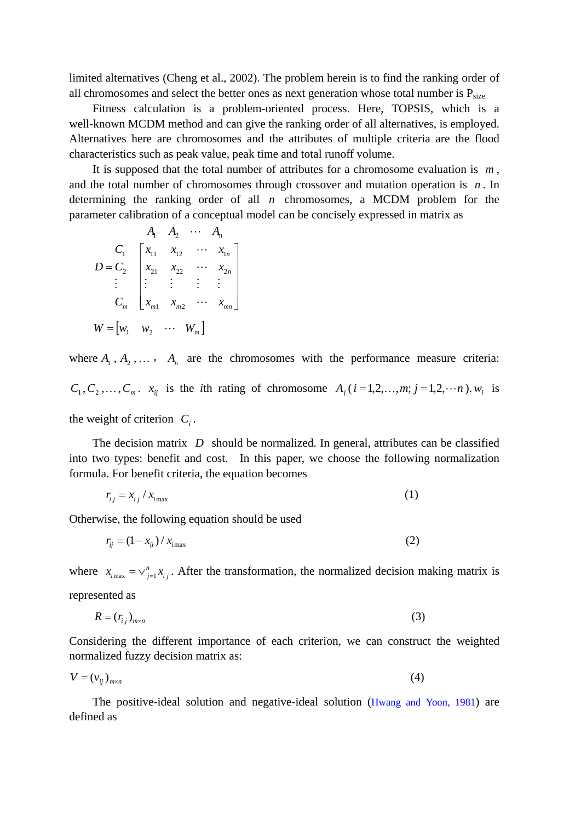limited alternatives (Cheng et al., 2002). The problem herein is to find the ranking order of all chromosomes and select the better ones as next generation whose total number is  $P_{size}$ .

Fitness calculation is a problem-oriented process. Here, TOPSIS, which is a well-known MCDM method and can give the ranking order of all alternatives, is employed. Alternatives here are chromosomes and the attributes of multiple criteria are the flood characteristics such as peak value, peak time and total runoff volume.

It is supposed that the total number of attributes for a chromosome evaluation is *m* , and the total number of chromosomes through crossover and mutation operation is *n* . In determining the ranking order of all *n* chromosomes, a MCDM problem for the parameter calibration of a conceptual model can be concisely expressed in matrix as

$$
A_1 \quad A_2 \quad \cdots \quad A_n
$$
\n
$$
D = C_2 \begin{bmatrix} x_{11} & x_{12} & \cdots & x_{1n} \\ x_{21} & x_{22} & \cdots & x_{2n} \\ \vdots & \vdots & \vdots & \vdots \\ x_{m1} & x_{m2} & \cdots & x_{mn} \end{bmatrix}
$$
\n
$$
W = \begin{bmatrix} w_1 & w_2 & \cdots & W_m \end{bmatrix}
$$

where  $A_1, A_2, \ldots, A_n$  are the chromosomes with the performance measure criteria:  $C_1, C_2, \ldots, C_m$ .  $x_{ij}$  is the *i*th rating of chromosome  $A_j$  (*i*=1,2,...,*m*; *j*=1,2,...*n*).  $w_i$  is the weight of criterion  $C_i$ .

The decision matrix *D* should be normalized. In general, attributes can be classified into two types: benefit and cost. In this paper, we choose the following normalization formula. For benefit criteria, the equation becomes

$$
r_{ij} = x_{ij} / x_{i\text{max}} \tag{1}
$$

Otherwise, the following equation should be used

$$
r_{ij} = \left(1 - x_{ij}\right) / x_{i\text{max}}\tag{2}
$$

where  $x_{i_{\text{max}}} = \vee_{j=1}^{n} x_{i_j}$ . After the transformation, the normalized decision making matrix is represented as

$$
R = (r_{ij})_{m \times n} \tag{3}
$$

Considering the different importance of each criterion, we can construct the weighted normalized fuzzy decision matrix as:

$$
V = (v_{ij})_{m \times n} \tag{4}
$$

The positive-ideal solution and negative-ideal solution (Hwang and Yoon, 1981) are defined as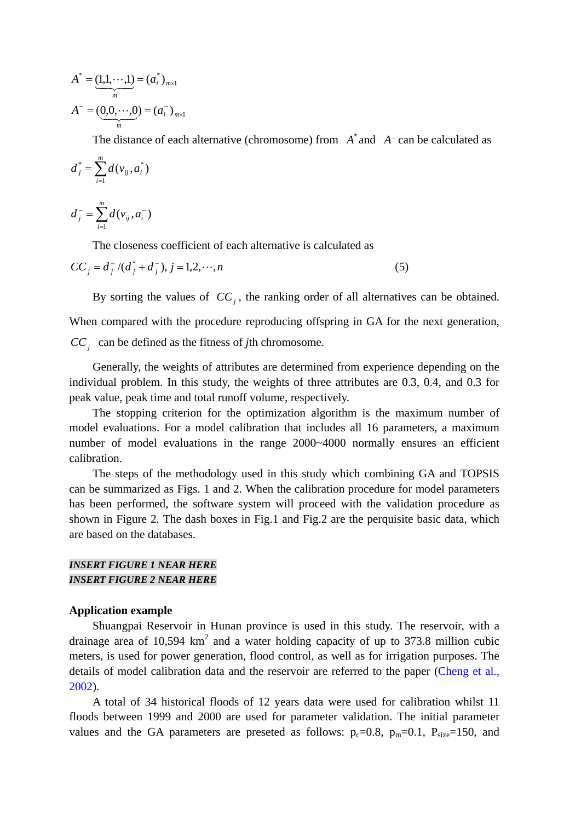$$
A^* = (1,1,\dots,1) = (a_i^*)_{m \times 1}
$$
  

$$
A^- = (0,0,\dots,0) = (a_i^-)_{m \times 1}
$$

The distance of each alternative (chromosome) from  $A^*$  and  $A^-$  can be calculated as

$$
d_j^* = \sum_{i=1}^m d(v_{ij}, a_i^*)
$$

 $\bar{m}_j = \sum_{i=1}^m d(v_{ij}, a_i)$ *i*  $d_j^- = \sum d(v_{ij}, a_i)$ 1  $(v_{ii}, a_{i}^{-})$ 

The closeness coefficient of each alternative is calculated as

$$
CC_j = d_j^- / (d_j^* + d_j^-), j = 1, 2, \cdots, n
$$
\n<sup>(5)</sup>

By sorting the values of  $CC<sub>i</sub>$ , the ranking order of all alternatives can be obtained.

When compared with the procedure reproducing offspring in GA for the next generation, *CCj* can be defined as the fitness of *j*th chromosome.

Generally, the weights of attributes are determined from experience depending on the individual problem. In this study, the weights of three attributes are 0.3, 0.4, and 0.3 for peak value, peak time and total runoff volume, respectively.

The stopping criterion for the optimization algorithm is the maximum number of model evaluations. For a model calibration that includes all 16 parameters, a maximum number of model evaluations in the range 2000~4000 normally ensures an efficient calibration.

The steps of the methodology used in this study which combining GA and TOPSIS can be summarized as Figs. 1 and 2. When the calibration procedure for model parameters has been performed, the software system will proceed with the validation procedure as shown in Figure 2. The dash boxes in Fig.1 and Fig.2 are the perquisite basic data, which are based on the databases.

# *INSERT FIGURE 1 NEAR HERE INSERT FIGURE 2 NEAR HERE*

#### **Application example**

Shuangpai Reservoir in Hunan province is used in this study. The reservoir, with a drainage area of 10,594  $km^2$  and a water holding capacity of up to 373.8 million cubic meters, is used for power generation, flood control, as well as for irrigation purposes. The details of model calibration data and the reservoir are referred to the paper (Cheng et al., 2002).

A total of 34 historical floods of 12 years data were used for calibration whilst 11 floods between 1999 and 2000 are used for parameter validation. The initial parameter values and the GA parameters are preseted as follows:  $p_c=0.8$ ,  $p_m=0.1$ ,  $P_{size}=150$ , and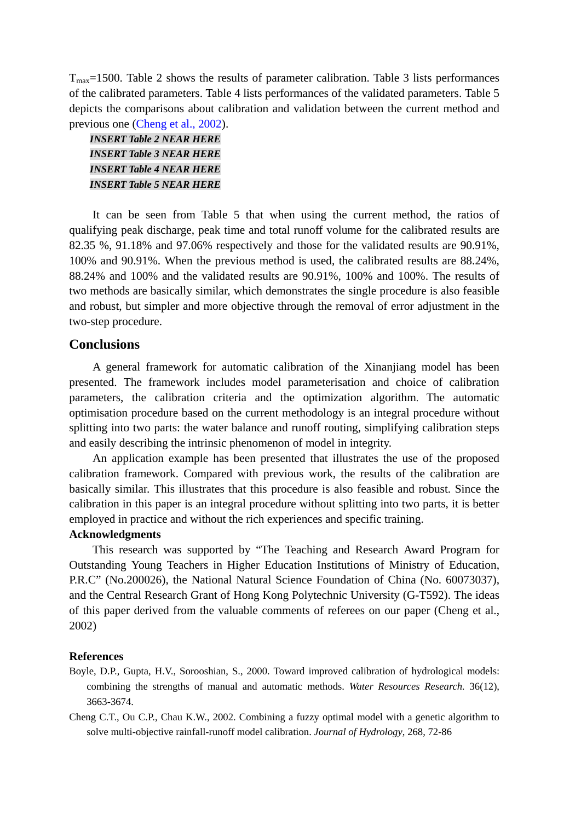$T_{\text{max}}$ =1500. Table 2 shows the results of parameter calibration. Table 3 lists performances of the calibrated parameters. Table 4 lists performances of the validated parameters. Table 5 depicts the comparisons about calibration and validation between the current method and previous one (Cheng et al., 2002).

# *INSERT Table 2 NEAR HERE INSERT Table 3 NEAR HERE INSERT Table 4 NEAR HERE INSERT Table 5 NEAR HERE*

It can be seen from Table 5 that when using the current method, the ratios of qualifying peak discharge, peak time and total runoff volume for the calibrated results are 82.35 %, 91.18% and 97.06% respectively and those for the validated results are 90.91%, 100% and 90.91%. When the previous method is used, the calibrated results are 88.24%, 88.24% and 100% and the validated results are 90.91%, 100% and 100%. The results of two methods are basically similar, which demonstrates the single procedure is also feasible and robust, but simpler and more objective through the removal of error adjustment in the two-step procedure.

# **Conclusions**

A general framework for automatic calibration of the Xinanjiang model has been presented. The framework includes model parameterisation and choice of calibration parameters, the calibration criteria and the optimization algorithm. The automatic optimisation procedure based on the current methodology is an integral procedure without splitting into two parts: the water balance and runoff routing, simplifying calibration steps and easily describing the intrinsic phenomenon of model in integrity.

An application example has been presented that illustrates the use of the proposed calibration framework. Compared with previous work, the results of the calibration are basically similar. This illustrates that this procedure is also feasible and robust. Since the calibration in this paper is an integral procedure without splitting into two parts, it is better employed in practice and without the rich experiences and specific training.

## **Acknowledgments**

This research was supported by "The Teaching and Research Award Program for Outstanding Young Teachers in Higher Education Institutions of Ministry of Education, P.R.C" (No.200026), the National Natural Science Foundation of China (No. 60073037), and the Central Research Grant of Hong Kong Polytechnic University (G-T592). The ideas of this paper derived from the valuable comments of referees on our paper (Cheng et al., 2002)

#### **References**

- Boyle, D.P., Gupta, H.V., Sorooshian, S., 2000. Toward improved calibration of hydrological models: combining the strengths of manual and automatic methods. *Water Resources Research.* 36(12), 3663-3674.
- Cheng C.T., Ou C.P., Chau K.W., 2002. Combining a fuzzy optimal model with a genetic algorithm to solve multi-objective rainfall-runoff model calibration. *Journal of Hydrology*, 268, 72-86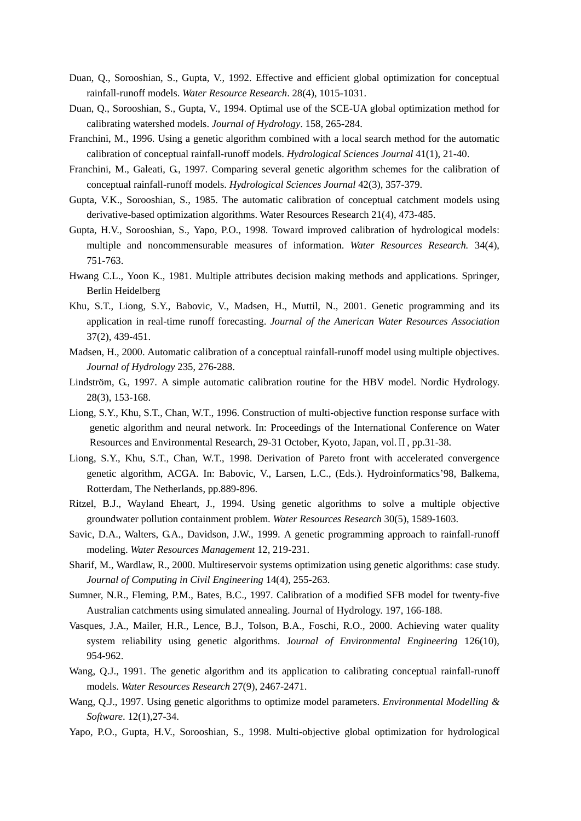- Duan, Q., Sorooshian, S., Gupta, V., 1992. Effective and efficient global optimization for conceptual rainfall-runoff models. *Water Resource Research*. 28(4), 1015-1031.
- Duan, Q., Sorooshian, S., Gupta, V., 1994. Optimal use of the SCE-UA global optimization method for calibrating watershed models. *Journal of Hydrology*. 158, 265-284.
- Franchini, M., 1996. Using a genetic algorithm combined with a local search method for the automatic calibration of conceptual rainfall-runoff models. *Hydrological Sciences Journal* 41(1), 21-40.
- Franchini, M., Galeati, G., 1997. Comparing several genetic algorithm schemes for the calibration of conceptual rainfall-runoff models. *Hydrological Sciences Journal* 42(3), 357-379.
- Gupta, V.K., Sorooshian, S., 1985. The automatic calibration of conceptual catchment models using derivative-based optimization algorithms. Water Resources Research 21(4), 473-485.
- Gupta, H.V., Sorooshian, S., Yapo, P.O., 1998. Toward improved calibration of hydrological models: multiple and noncommensurable measures of information. *Water Resources Research.* 34(4), 751-763.
- Hwang C.L., Yoon K., 1981. Multiple attributes decision making methods and applications. Springer, Berlin Heidelberg
- Khu, S.T., Liong, S.Y., Babovic, V., Madsen, H., Muttil, N., 2001. Genetic programming and its application in real-time runoff forecasting. *Journal of the American Water Resources Association* 37(2), 439-451.
- Madsen, H., 2000. Automatic calibration of a conceptual rainfall-runoff model using multiple objectives. *Journal of Hydrology* 235, 276-288.
- Lindström, G., 1997. A simple automatic calibration routine for the HBV model. Nordic Hydrology. 28(3), 153-168.
- Liong, S.Y., Khu, S.T., Chan, W.T., 1996. Construction of multi-objective function response surface with genetic algorithm and neural network. In: Proceedings of the International Conference on Water Resources and Environmental Research, 29-31 October, Kyoto, Japan, vol.Π, pp.31-38.
- Liong, S.Y., Khu, S.T., Chan, W.T., 1998. Derivation of Pareto front with accelerated convergence genetic algorithm, ACGA. In: Babovic, V., Larsen, L.C., (Eds.). Hydroinformatics'98, Balkema, Rotterdam, The Netherlands, pp.889-896.
- Ritzel, B.J., Wayland Eheart, J., 1994. Using genetic algorithms to solve a multiple objective groundwater pollution containment problem. *Water Resources Research* 30(5), 1589-1603.
- Savic, D.A., Walters, G.A., Davidson, J.W., 1999. A genetic programming approach to rainfall-runoff modeling. *Water Resources Management* 12, 219-231.
- Sharif, M., Wardlaw, R., 2000. Multireservoir systems optimization using genetic algorithms: case study. *Journal of Computing in Civil Engineering* 14(4), 255-263.
- Sumner, N.R., Fleming, P.M., Bates, B.C., 1997. Calibration of a modified SFB model for twenty-five Australian catchments using simulated annealing. Journal of Hydrology. 197, 166-188.
- Vasques, J.A., Mailer, H.R., Lence, B.J., Tolson, B.A., Foschi, R.O., 2000. Achieving water quality system reliability using genetic algorithms. J*ournal of Environmental Engineering* 126(10), 954-962.
- Wang, Q.J., 1991. The genetic algorithm and its application to calibrating conceptual rainfall-runoff models. *Water Resources Research* 27(9), 2467-2471.
- Wang, Q.J., 1997. Using genetic algorithms to optimize model parameters. *Environmental Modelling & Software*. 12(1),27-34.
- Yapo, P.O., Gupta, H.V., Sorooshian, S., 1998. Multi-objective global optimization for hydrological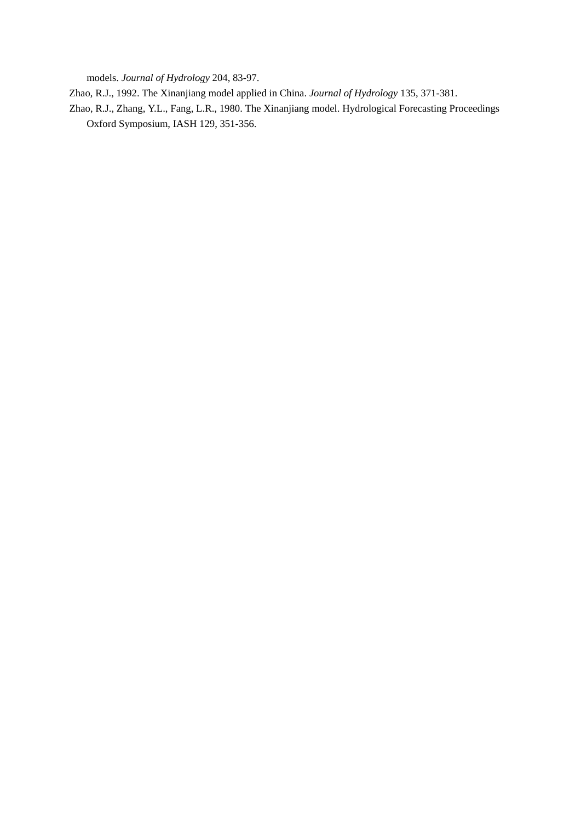models. *Journal of Hydrology* 204, 83-97.

Zhao, R.J., 1992. The Xinanjiang model applied in China. *Journal of Hydrology* 135, 371-381.

Zhao, R.J., Zhang, Y.L., Fang, L.R., 1980. The Xinanjiang model. Hydrological Forecasting Proceedings Oxford Symposium, IASH 129, 351-356.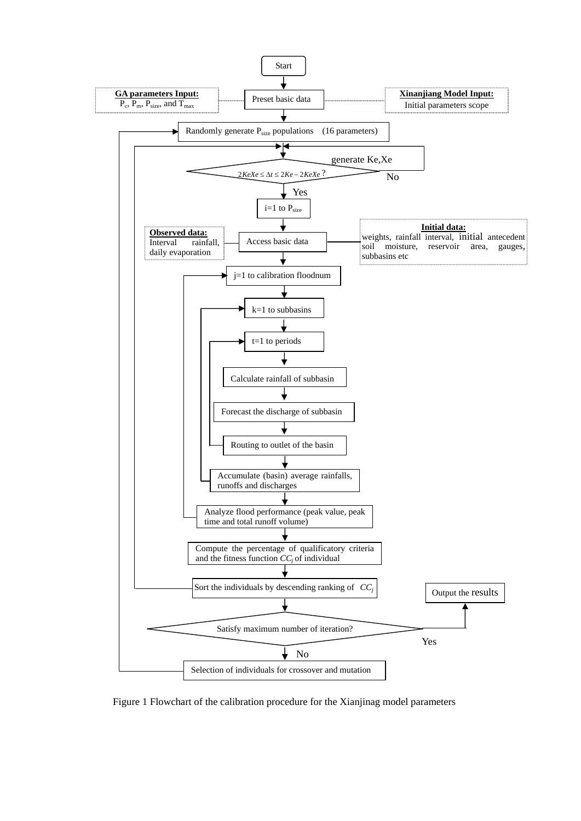

Figure 1 Flowchart of the calibration procedure for the Xianjinag model parameters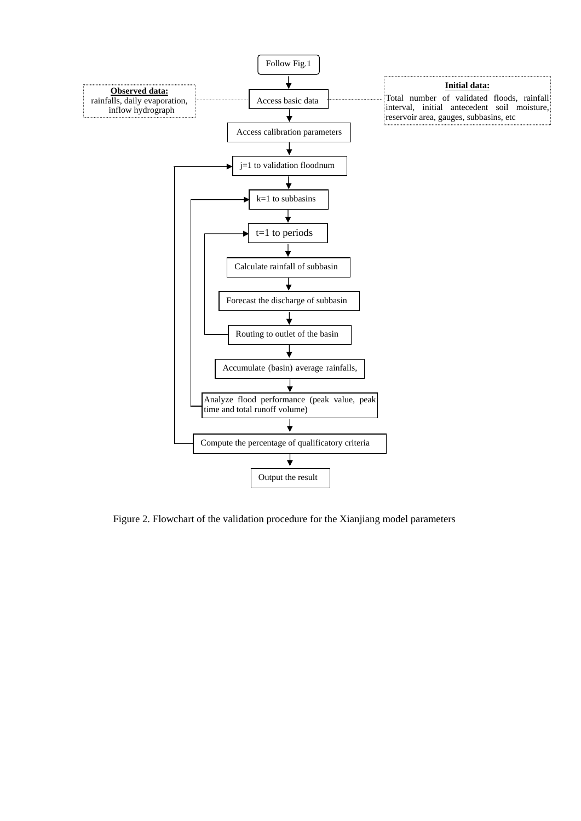

Figure 2. Flowchart of the validation procedure for the Xianjiang model parameters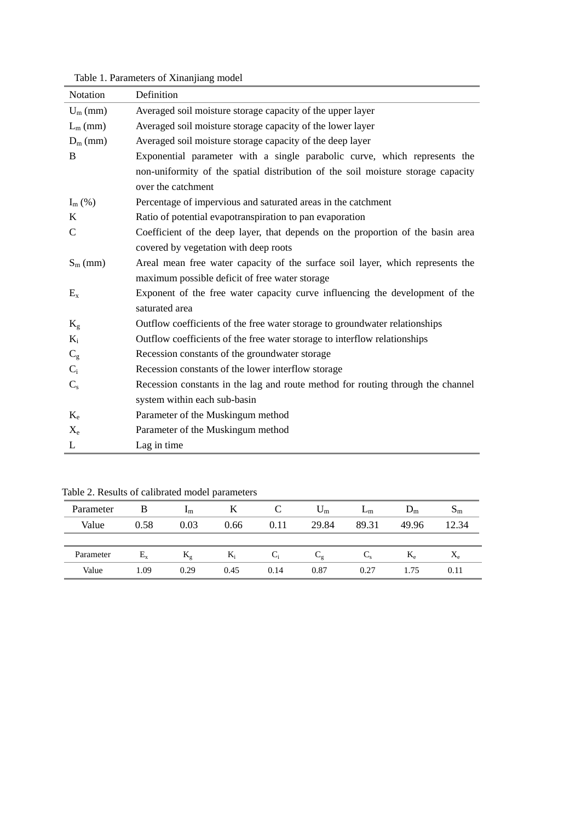| Notation       | Definition                                                                       |
|----------------|----------------------------------------------------------------------------------|
| $U_m$ (mm)     | Averaged soil moisture storage capacity of the upper layer                       |
| $L_m$ (mm)     | Averaged soil moisture storage capacity of the lower layer                       |
| $D_m$ (mm)     | Averaged soil moisture storage capacity of the deep layer                        |
| B              | Exponential parameter with a single parabolic curve, which represents the        |
|                | non-uniformity of the spatial distribution of the soil moisture storage capacity |
|                | over the catchment                                                               |
| $I_m$ (%)      | Percentage of impervious and saturated areas in the catchment                    |
| K              | Ratio of potential evapotranspiration to pan evaporation                         |
| $\overline{C}$ | Coefficient of the deep layer, that depends on the proportion of the basin area  |
|                | covered by vegetation with deep roots                                            |
| $S_m$ (mm)     | Areal mean free water capacity of the surface soil layer, which represents the   |
|                | maximum possible deficit of free water storage                                   |
| $E_{x}$        | Exponent of the free water capacity curve influencing the development of the     |
|                | saturated area                                                                   |
| $K_{\rm g}$    | Outflow coefficients of the free water storage to groundwater relationships      |
| $K_i$          | Outflow coefficients of the free water storage to interflow relationships        |
| $C_{\rm g}$    | Recession constants of the groundwater storage                                   |
| $C_i$          | Recession constants of the lower interflow storage                               |
| $C_{s}$        | Recession constants in the lag and route method for routing through the channel  |
|                | system within each sub-basin                                                     |
| $K_{\rm e}$    | Parameter of the Muskingum method                                                |
| $X_{e}$        | Parameter of the Muskingum method                                                |
| L              | Lag in time                                                                      |

Table 1. Parameters of Xinanjiang model

|           |         |                         | $\overline{\phantom{a}}$ |      |                             |       |             |             |
|-----------|---------|-------------------------|--------------------------|------|-----------------------------|-------|-------------|-------------|
| Parameter | B       | $\mathbf{I}_{\text{m}}$ |                          |      | $\cup_m$                    | ⊥m    | $D_{m}$     | մա          |
| Value     | 0.58    | 0.03                    | 0.66                     | 0.11 | 29.84                       | 89.31 | 49.96       | 12.34       |
|           |         |                         |                          |      |                             |       |             |             |
| Parameter | $E_{x}$ | $K_{\rm g}$             | $K_i$                    | Ui.  | $\mathsf{L}_{\mathfrak{g}}$ | しょ    | $K_{\rm e}$ | $X_{\rm e}$ |
| Value     | 1.09    | 0.29                    | 0.45                     | 0.14 | 0.87                        | 0.27  | 1.75        | 0.11        |

Table 2. Results of calibrated model parameters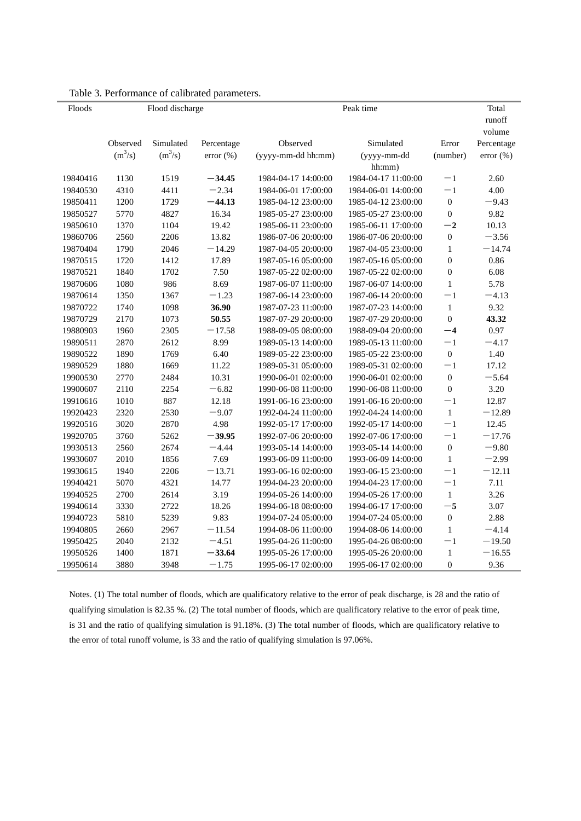| Floods   | Flood discharge |           |               |                     | Total               |                  |                  |
|----------|-----------------|-----------|---------------|---------------------|---------------------|------------------|------------------|
|          |                 |           |               |                     |                     |                  | runoff<br>volume |
|          | Observed        | Simulated | Percentage    | Observed            | Simulated           | Error            | Percentage       |
|          | $(m^3/s)$       | $(m^3/s)$ | $error (\% )$ | (yyyy-mm-dd hh:mm)  | (yyyy-mm-dd         | (number)         | $error (\% )$    |
|          |                 |           |               |                     | hh:mm)              |                  |                  |
| 19840416 | 1130            | 1519      | $-34.45$      | 1984-04-17 14:00:00 | 1984-04-17 11:00:00 | $-1$             | 2.60             |
| 19840530 | 4310            | 4411      | $-2.34$       | 1984-06-01 17:00:00 | 1984-06-01 14:00:00 | $-1$             | 4.00             |
| 19850411 | 1200            | 1729      | $-44.13$      | 1985-04-12 23:00:00 | 1985-04-12 23:00:00 | $\boldsymbol{0}$ | $-9.43$          |
| 19850527 | 5770            | 4827      | 16.34         | 1985-05-27 23:00:00 | 1985-05-27 23:00:00 | $\boldsymbol{0}$ | 9.82             |
| 19850610 | 1370            | 1104      | 19.42         | 1985-06-11 23:00:00 | 1985-06-11 17:00:00 | $-2$             | 10.13            |
| 19860706 | 2560            | 2206      | 13.82         | 1986-07-06 20:00:00 | 1986-07-06 20:00:00 | $\boldsymbol{0}$ | $-3.56$          |
| 19870404 | 1790            | 2046      | $-14.29$      | 1987-04-05 20:00:00 | 1987-04-05 23:00:00 | $\,1$            | $-14.74$         |
| 19870515 | 1720            | 1412      | 17.89         | 1987-05-16 05:00:00 | 1987-05-16 05:00:00 | $\boldsymbol{0}$ | 0.86             |
| 19870521 | 1840            | 1702      | 7.50          | 1987-05-22 02:00:00 | 1987-05-22 02:00:00 | $\boldsymbol{0}$ | 6.08             |
| 19870606 | 1080            | 986       | 8.69          | 1987-06-07 11:00:00 | 1987-06-07 14:00:00 | $\mathbf{1}$     | 5.78             |
| 19870614 | 1350            | 1367      | $-1.23$       | 1987-06-14 23:00:00 | 1987-06-14 20:00:00 | $-1$             | $-4.13$          |
| 19870722 | 1740            | 1098      | 36.90         | 1987-07-23 11:00:00 | 1987-07-23 14:00:00 | $\mathbf{1}$     | 9.32             |
| 19870729 | 2170            | 1073      | 50.55         | 1987-07-29 20:00:00 | 1987-07-29 20:00:00 | $\mathbf 0$      | 43.32            |
| 19880903 | 1960            | 2305      | $-17.58$      | 1988-09-05 08:00:00 | 1988-09-04 20:00:00 | $-4$             | 0.97             |
| 19890511 | 2870            | 2612      | 8.99          | 1989-05-13 14:00:00 | 1989-05-13 11:00:00 | $-1$             | $-4.17$          |
| 19890522 | 1890            | 1769      | 6.40          | 1989-05-22 23:00:00 | 1985-05-22 23:00:00 | $\boldsymbol{0}$ | 1.40             |
| 19890529 | 1880            | 1669      | 11.22         | 1989-05-31 05:00:00 | 1989-05-31 02:00:00 | $-1$             | 17.12            |
| 19900530 | 2770            | 2484      | 10.31         | 1990-06-01 02:00:00 | 1990-06-01 02:00:00 | $\boldsymbol{0}$ | $-5.64$          |
| 19900607 | 2110            | 2254      | $-6.82$       | 1990-06-08 11:00:00 | 1990-06-08 11:00:00 | $\boldsymbol{0}$ | 3.20             |
| 19910616 | 1010            | 887       | 12.18         | 1991-06-16 23:00:00 | 1991-06-16 20:00:00 | $-1$             | 12.87            |
| 19920423 | 2320            | 2530      | $-9.07$       | 1992-04-24 11:00:00 | 1992-04-24 14:00:00 | $\mathbf{1}$     | $-12.89$         |
| 19920516 | 3020            | 2870      | 4.98          | 1992-05-17 17:00:00 | 1992-05-17 14:00:00 | $-1$             | 12.45            |
| 19920705 | 3760            | 5262      | $-39.95$      | 1992-07-06 20:00:00 | 1992-07-06 17:00:00 | $-1$             | $-17.76$         |
| 19930513 | 2560            | 2674      | $-4.44$       | 1993-05-14 14:00:00 | 1993-05-14 14:00:00 | $\boldsymbol{0}$ | $-9.80$          |
| 19930607 | 2010            | 1856      | 7.69          | 1993-06-09 11:00:00 | 1993-06-09 14:00:00 | $\mathbf 1$      | $-2.99$          |
| 19930615 | 1940            | 2206      | $-13.71$      | 1993-06-16 02:00:00 | 1993-06-15 23:00:00 | $-1$             | $-12.11$         |
| 19940421 | 5070            | 4321      | 14.77         | 1994-04-23 20:00:00 | 1994-04-23 17:00:00 | $-1$             | 7.11             |
| 19940525 | 2700            | 2614      | 3.19          | 1994-05-26 14:00:00 | 1994-05-26 17:00:00 | $\mathbf{1}$     | 3.26             |
| 19940614 | 3330            | 2722      | 18.26         | 1994-06-18 08:00:00 | 1994-06-17 17:00:00 | $-5$             | 3.07             |
| 19940723 | 5810            | 5239      | 9.83          | 1994-07-24 05:00:00 | 1994-07-24 05:00:00 | $\boldsymbol{0}$ | 2.88             |
| 19940805 | 2660            | 2967      | $-11.54$      | 1994-08-06 11:00:00 | 1994-08-06 14:00:00 | $\mathbf{1}$     | $-4.14$          |
| 19950425 | 2040            | 2132      | $-4.51$       | 1995-04-26 11:00:00 | 1995-04-26 08:00:00 | $-1$             | $-19.50$         |
| 19950526 | 1400            | 1871      | $-33.64$      | 1995-05-26 17:00:00 | 1995-05-26 20:00:00 | $\mathbf 1$      | $-16.55$         |
| 19950614 | 3880            | 3948      | $-1.75$       | 1995-06-17 02:00:00 | 1995-06-17 02:00:00 | $\boldsymbol{0}$ | 9.36             |

Table 3. Performance of calibrated parameters.

Notes. (1) The total number of floods, which are qualificatory relative to the error of peak discharge, is 28 and the ratio of qualifying simulation is 82.35 %. (2) The total number of floods, which are qualificatory relative to the error of peak time, is 31 and the ratio of qualifying simulation is 91.18%. (3) The total number of floods, which are qualificatory relative to the error of total runoff volume, is 33 and the ratio of qualifying simulation is 97.06%.